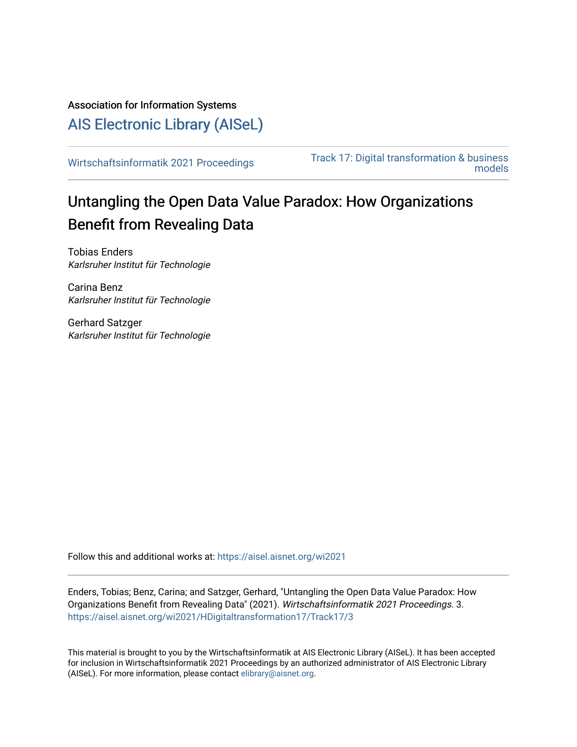Association for Information Systems

[AIS Electronic Library \(AISeL\)](https://aisel.aisnet.org/)

[Wirtschaftsinformatik 2021 Proceedings](https://aisel.aisnet.org/wi2021) Track 17: Digital transformation & business [models](https://aisel.aisnet.org/wi2021/HDigitaltransformation17) 

# Untangling the Open Data Value Paradox: How Organizations Benefit from Revealing Data

Tobias Enders Karlsruher Institut für Technologie

Carina Benz Karlsruher Institut für Technologie

Gerhard Satzger Karlsruher Institut für Technologie

Follow this and additional works at: [https://aisel.aisnet.org/wi2021](https://aisel.aisnet.org/wi2021?utm_source=aisel.aisnet.org%2Fwi2021%2FHDigitaltransformation17%2FTrack17%2F3&utm_medium=PDF&utm_campaign=PDFCoverPages) 

Enders, Tobias; Benz, Carina; and Satzger, Gerhard, "Untangling the Open Data Value Paradox: How Organizations Benefit from Revealing Data" (2021). Wirtschaftsinformatik 2021 Proceedings. 3. [https://aisel.aisnet.org/wi2021/HDigitaltransformation17/Track17/3](https://aisel.aisnet.org/wi2021/HDigitaltransformation17/Track17/3?utm_source=aisel.aisnet.org%2Fwi2021%2FHDigitaltransformation17%2FTrack17%2F3&utm_medium=PDF&utm_campaign=PDFCoverPages)

This material is brought to you by the Wirtschaftsinformatik at AIS Electronic Library (AISeL). It has been accepted for inclusion in Wirtschaftsinformatik 2021 Proceedings by an authorized administrator of AIS Electronic Library (AISeL). For more information, please contact [elibrary@aisnet.org](mailto:elibrary@aisnet.org%3E).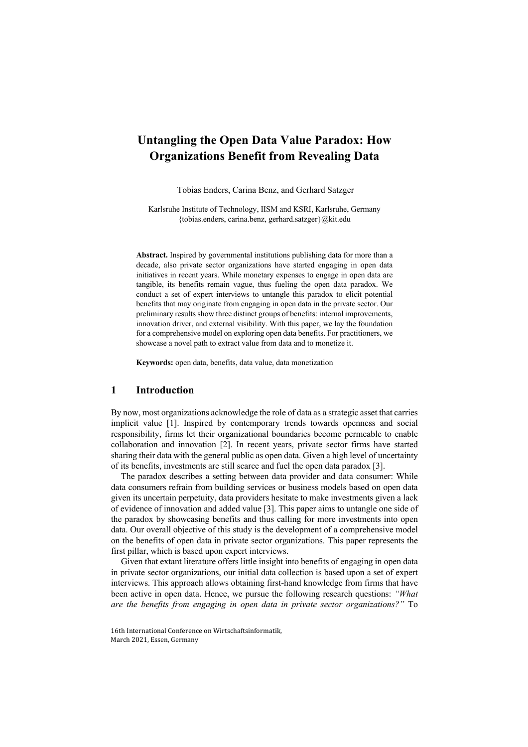## **Untangling the Open Data Value Paradox: How Organizations Benefit from Revealing Data**

Tobias Enders, Carina Benz, and Gerhard Satzger

Karlsruhe Institute of Technology, IISM and KSRI, Karlsruhe, Germany {tobias.enders, carina.benz, gerhard.satzger}@kit.edu

**Abstract.** Inspired by governmental institutions publishing data for more than a decade, also private sector organizations have started engaging in open data initiatives in recent years. While monetary expenses to engage in open data are tangible, its benefits remain vague, thus fueling the open data paradox. We conduct a set of expert interviews to untangle this paradox to elicit potential benefits that may originate from engaging in open data in the private sector. Our preliminary results show three distinct groups of benefits: internal improvements, innovation driver, and external visibility. With this paper, we lay the foundation for a comprehensive model on exploring open data benefits. For practitioners, we showcase a novel path to extract value from data and to monetize it.

**Keywords:** open data, benefits, data value, data monetization

#### **1 Introduction**

By now, most organizations acknowledge the role of data as a strategic asset that carries implicit value [1]. Inspired by contemporary trends towards openness and social responsibility, firms let their organizational boundaries become permeable to enable collaboration and innovation [2]. In recent years, private sector firms have started sharing their data with the general public as open data. Given a high level of uncertainty of its benefits, investments are still scarce and fuel the open data paradox [3].

The paradox describes a setting between data provider and data consumer: While data consumers refrain from building services or business models based on open data given its uncertain perpetuity, data providers hesitate to make investments given a lack of evidence of innovation and added value [3]. This paper aims to untangle one side of the paradox by showcasing benefits and thus calling for more investments into open data. Our overall objective of this study is the development of a comprehensive model on the benefits of open data in private sector organizations. This paper represents the first pillar, which is based upon expert interviews.

Given that extant literature offers little insight into benefits of engaging in open data in private sector organizations, our initial data collection is based upon a set of expert interviews. This approach allows obtaining first-hand knowledge from firms that have been active in open data. Hence, we pursue the following research questions: *"What are the benefits from engaging in open data in private sector organizations?"* To

<sup>16</sup>th International Conference on Wirtschaftsinformatik, March 2021, Essen, Germany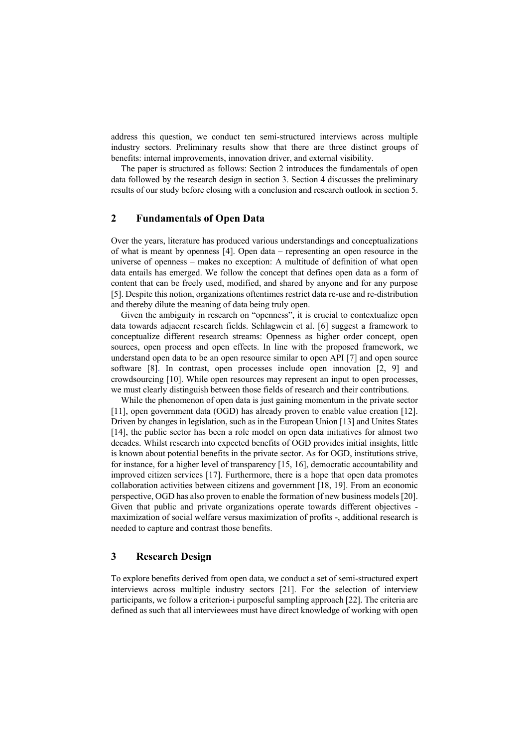address this question, we conduct ten semi-structured interviews across multiple industry sectors. Preliminary results show that there are three distinct groups of benefits: internal improvements, innovation driver, and external visibility.

The paper is structured as follows: Section 2 introduces the fundamentals of open data followed by the research design in section 3. Section 4 discusses the preliminary results of our study before closing with a conclusion and research outlook in section 5.

### **2 Fundamentals of Open Data**

Over the years, literature has produced various understandings and conceptualizations of what is meant by openness [4]. Open data – representing an open resource in the universe of openness – makes no exception: A multitude of definition of what open data entails has emerged. We follow the concept that defines open data as a form of content that can be freely used, modified, and shared by anyone and for any purpose [5]. Despite this notion, organizations oftentimes restrict data re-use and re-distribution and thereby dilute the meaning of data being truly open.

Given the ambiguity in research on "openness", it is crucial to contextualize open data towards adjacent research fields. Schlagwein et al. [6] suggest a framework to conceptualize different research streams: Openness as higher order concept, open sources, open process and open effects. In line with the proposed framework, we understand open data to be an open resource similar to open API [7] and open source software [8]. In contrast, open processes include open innovation [2, 9] and crowdsourcing [10]. While open resources may represent an input to open processes, we must clearly distinguish between those fields of research and their contributions.

While the phenomenon of open data is just gaining momentum in the private sector [11], open government data (OGD) has already proven to enable value creation [12]. Driven by changes in legislation, such as in the European Union [13] and Unites States [14], the public sector has been a role model on open data initiatives for almost two decades. Whilst research into expected benefits of OGD provides initial insights, little is known about potential benefits in the private sector. As for OGD, institutions strive, for instance, for a higher level of transparency [15, 16], democratic accountability and improved citizen services [17]. Furthermore, there is a hope that open data promotes collaboration activities between citizens and government [18, 19]. From an economic perspective, OGD has also proven to enable the formation of new business models [20]. Given that public and private organizations operate towards different objectives maximization of social welfare versus maximization of profits -, additional research is needed to capture and contrast those benefits.

#### **3 Research Design**

To explore benefits derived from open data, we conduct a set of semi-structured expert interviews across multiple industry sectors [21]. For the selection of interview participants, we follow a criterion-i purposeful sampling approach [22]. The criteria are defined as such that all interviewees must have direct knowledge of working with open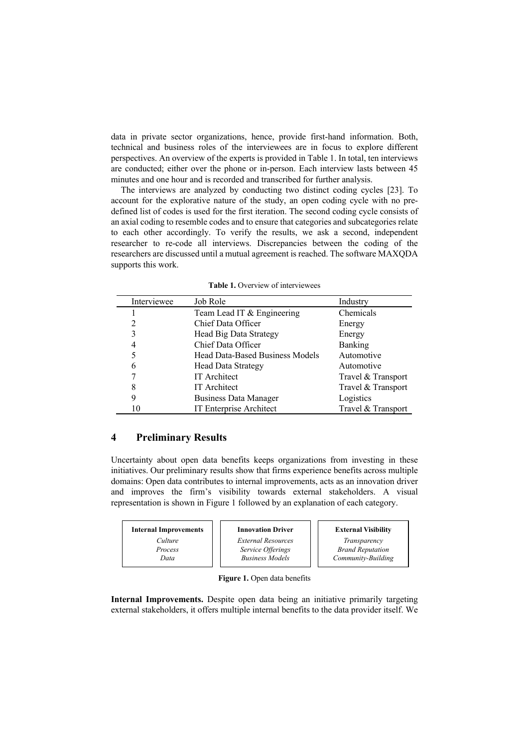data in private sector organizations, hence, provide first-hand information. Both, technical and business roles of the interviewees are in focus to explore different perspectives. An overview of the experts is provided in Table 1. In total, ten interviews are conducted; either over the phone or in-person. Each interview lasts between 45 minutes and one hour and is recorded and transcribed for further analysis.

The interviews are analyzed by conducting two distinct coding cycles [23]. To account for the explorative nature of the study, an open coding cycle with no predefined list of codes is used for the first iteration. The second coding cycle consists of an axial coding to resemble codes and to ensure that categories and subcategories relate to each other accordingly. To verify the results, we ask a second, independent researcher to re-code all interviews. Discrepancies between the coding of the researchers are discussed until a mutual agreement is reached. The software MAXQDA supports this work.

| Interviewee | Job Role                               | Industry           |
|-------------|----------------------------------------|--------------------|
|             | Team Lead IT & Engineering             | Chemicals          |
| 2           | Chief Data Officer                     | Energy             |
| 3           | Head Big Data Strategy                 | Energy             |
| 4           | Chief Data Officer                     | Banking            |
| 5           | <b>Head Data-Based Business Models</b> | Automotive         |
| 6           | <b>Head Data Strategy</b>              | Automotive         |
|             | <b>IT</b> Architect                    | Travel & Transport |
| 8           | <b>IT</b> Architect                    | Travel & Transport |
| 9           | Business Data Manager                  | Logistics          |
|             | <b>IT Enterprise Architect</b>         | Travel & Transport |

**Table 1.** Overview of interviewees

### **4 Preliminary Results**

Uncertainty about open data benefits keeps organizations from investing in these initiatives. Our preliminary results show that firms experience benefits across multiple domains: Open data contributes to internal improvements, acts as an innovation driver and improves the firm's visibility towards external stakeholders. A visual representation is shown in Figure 1 followed by an explanation of each category.

| <b>Internal Improvements</b> | <b>Innovation Driver</b>  | <b>External Visibility</b> |
|------------------------------|---------------------------|----------------------------|
| Culture                      | <b>External Resources</b> | Transparency               |
| Process                      | Service Offerings         | <b>Brand Reputation</b>    |
| Data                         | <b>Business Models</b>    | Community-Building         |

**Figure 1.** Open data benefits

**Internal Improvements.** Despite open data being an initiative primarily targeting external stakeholders, it offers multiple internal benefits to the data provider itself. We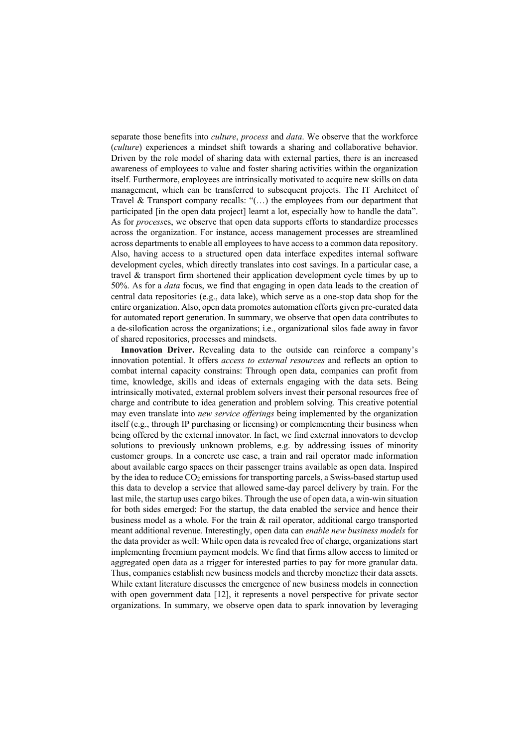separate those benefits into *culture*, *process* and *data*. We observe that the workforce (*culture*) experiences a mindset shift towards a sharing and collaborative behavior. Driven by the role model of sharing data with external parties, there is an increased awareness of employees to value and foster sharing activities within the organization itself. Furthermore, employees are intrinsically motivated to acquire new skills on data management, which can be transferred to subsequent projects. The IT Architect of Travel & Transport company recalls: "(…) the employees from our department that participated [in the open data project] learnt a lot, especially how to handle the data". As for *process*es, we observe that open data supports efforts to standardize processes across the organization. For instance, access management processes are streamlined across departments to enable all employees to have access to a common data repository. Also, having access to a structured open data interface expedites internal software development cycles, which directly translates into cost savings. In a particular case, a travel & transport firm shortened their application development cycle times by up to 50%. As for a *data* focus, we find that engaging in open data leads to the creation of central data repositories (e.g., data lake), which serve as a one-stop data shop for the entire organization. Also, open data promotes automation efforts given pre-curated data for automated report generation. In summary, we observe that open data contributes to a de-silofication across the organizations; i.e., organizational silos fade away in favor of shared repositories, processes and mindsets.

**Innovation Driver.** Revealing data to the outside can reinforce a company's innovation potential. It offers *access to external resources* and reflects an option to combat internal capacity constrains: Through open data, companies can profit from time, knowledge, skills and ideas of externals engaging with the data sets. Being intrinsically motivated, external problem solvers invest their personal resources free of charge and contribute to idea generation and problem solving. This creative potential may even translate into *new service offerings* being implemented by the organization itself (e.g., through IP purchasing or licensing) or complementing their business when being offered by the external innovator. In fact, we find external innovators to develop solutions to previously unknown problems, e.g. by addressing issues of minority customer groups. In a concrete use case, a train and rail operator made information about available cargo spaces on their passenger trains available as open data. Inspired by the idea to reduce  $CO<sub>2</sub>$  emissions for transporting parcels, a Swiss-based startup used this data to develop a service that allowed same-day parcel delivery by train. For the last mile, the startup uses cargo bikes. Through the use of open data, a win-win situation for both sides emerged: For the startup, the data enabled the service and hence their business model as a whole. For the train & rail operator, additional cargo transported meant additional revenue. Interestingly, open data can *enable new business models* for the data provider as well: While open data is revealed free of charge, organizations start implementing freemium payment models. We find that firms allow access to limited or aggregated open data as a trigger for interested parties to pay for more granular data. Thus, companies establish new business models and thereby monetize their data assets. While extant literature discusses the emergence of new business models in connection with open government data [12], it represents a novel perspective for private sector organizations. In summary, we observe open data to spark innovation by leveraging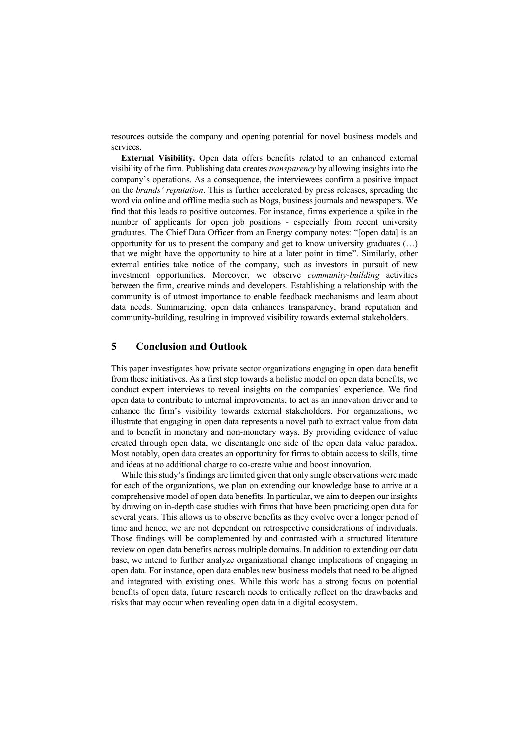resources outside the company and opening potential for novel business models and services.

**External Visibility.** Open data offers benefits related to an enhanced external visibility of the firm. Publishing data creates *transparency* by allowing insights into the company's operations. As a consequence, the interviewees confirm a positive impact on the *brands' reputation*. This is further accelerated by press releases, spreading the word via online and offline media such as blogs, business journals and newspapers. We find that this leads to positive outcomes. For instance, firms experience a spike in the number of applicants for open job positions - especially from recent university graduates. The Chief Data Officer from an Energy company notes: "[open data] is an opportunity for us to present the company and get to know university graduates (…) that we might have the opportunity to hire at a later point in time". Similarly, other external entities take notice of the company, such as investors in pursuit of new investment opportunities. Moreover, we observe *community-building* activities between the firm, creative minds and developers. Establishing a relationship with the community is of utmost importance to enable feedback mechanisms and learn about data needs. Summarizing, open data enhances transparency, brand reputation and community-building, resulting in improved visibility towards external stakeholders.

### **5 Conclusion and Outlook**

This paper investigates how private sector organizations engaging in open data benefit from these initiatives. As a first step towards a holistic model on open data benefits, we conduct expert interviews to reveal insights on the companies' experience. We find open data to contribute to internal improvements, to act as an innovation driver and to enhance the firm's visibility towards external stakeholders. For organizations, we illustrate that engaging in open data represents a novel path to extract value from data and to benefit in monetary and non-monetary ways. By providing evidence of value created through open data, we disentangle one side of the open data value paradox. Most notably, open data creates an opportunity for firms to obtain access to skills, time and ideas at no additional charge to co-create value and boost innovation.

While this study's findings are limited given that only single observations were made for each of the organizations, we plan on extending our knowledge base to arrive at a comprehensive model of open data benefits. In particular, we aim to deepen our insights by drawing on in-depth case studies with firms that have been practicing open data for several years. This allows us to observe benefits as they evolve over a longer period of time and hence, we are not dependent on retrospective considerations of individuals. Those findings will be complemented by and contrasted with a structured literature review on open data benefits across multiple domains. In addition to extending our data base, we intend to further analyze organizational change implications of engaging in open data. For instance, open data enables new business models that need to be aligned and integrated with existing ones. While this work has a strong focus on potential benefits of open data, future research needs to critically reflect on the drawbacks and risks that may occur when revealing open data in a digital ecosystem.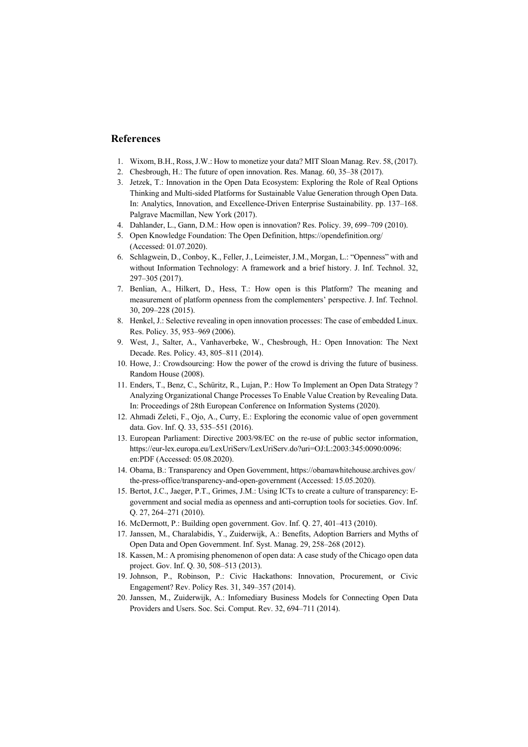#### **References**

- 1. Wixom, B.H., Ross, J.W.: How to monetize your data? MIT Sloan Manag. Rev. 58, (2017).
- 2. Chesbrough, H.: The future of open innovation. Res. Manag. 60, 35–38 (2017).
- 3. Jetzek, T.: Innovation in the Open Data Ecosystem: Exploring the Role of Real Options Thinking and Multi-sided Platforms for Sustainable Value Generation through Open Data. In: Analytics, Innovation, and Excellence-Driven Enterprise Sustainability. pp. 137–168. Palgrave Macmillan, New York (2017).
- 4. Dahlander, L., Gann, D.M.: How open is innovation? Res. Policy. 39, 699–709 (2010).
- 5. Open Knowledge Foundation: The Open Definition, https://opendefinition.org/ (Accessed: 01.07.2020).
- 6. Schlagwein, D., Conboy, K., Feller, J., Leimeister, J.M., Morgan, L.: "Openness" with and without Information Technology: A framework and a brief history. J. Inf. Technol. 32, 297–305 (2017).
- 7. Benlian, A., Hilkert, D., Hess, T.: How open is this Platform? The meaning and measurement of platform openness from the complementers' perspective. J. Inf. Technol. 30, 209–228 (2015).
- 8. Henkel, J.: Selective revealing in open innovation processes: The case of embedded Linux. Res. Policy. 35, 953–969 (2006).
- 9. West, J., Salter, A., Vanhaverbeke, W., Chesbrough, H.: Open Innovation: The Next Decade. Res. Policy. 43, 805–811 (2014).
- 10. Howe, J.: Crowdsourcing: How the power of the crowd is driving the future of business. Random House (2008).
- 11. Enders, T., Benz, C., Schüritz, R., Lujan, P.: How To Implement an Open Data Strategy ? Analyzing Organizational Change Processes To Enable Value Creation by Revealing Data. In: Proceedings of 28th European Conference on Information Systems (2020).
- 12. Ahmadi Zeleti, F., Ojo, A., Curry, E.: Exploring the economic value of open government data. Gov. Inf. Q. 33, 535–551 (2016).
- 13. European Parliament: Directive 2003/98/EC on the re-use of public sector information, https://eur-lex.europa.eu/LexUriServ/LexUriServ.do?uri=OJ:L:2003:345:0090:0096: en:PDF (Accessed: 05.08.2020).
- 14. Obama, B.: Transparency and Open Government, https://obamawhitehouse.archives.gov/ the-press-office/transparency-and-open-government (Accessed: 15.05.2020).
- 15. Bertot, J.C., Jaeger, P.T., Grimes, J.M.: Using ICTs to create a culture of transparency: Egovernment and social media as openness and anti-corruption tools for societies. Gov. Inf. Q. 27, 264–271 (2010).
- 16. McDermott, P.: Building open government. Gov. Inf. Q. 27, 401–413 (2010).
- 17. Janssen, M., Charalabidis, Y., Zuiderwijk, A.: Benefits, Adoption Barriers and Myths of Open Data and Open Government. Inf. Syst. Manag. 29, 258–268 (2012).
- 18. Kassen, M.: A promising phenomenon of open data: A case study of the Chicago open data project. Gov. Inf. Q. 30, 508–513 (2013).
- 19. Johnson, P., Robinson, P.: Civic Hackathons: Innovation, Procurement, or Civic Engagement? Rev. Policy Res. 31, 349–357 (2014).
- 20. Janssen, M., Zuiderwijk, A.: Infomediary Business Models for Connecting Open Data Providers and Users. Soc. Sci. Comput. Rev. 32, 694–711 (2014).